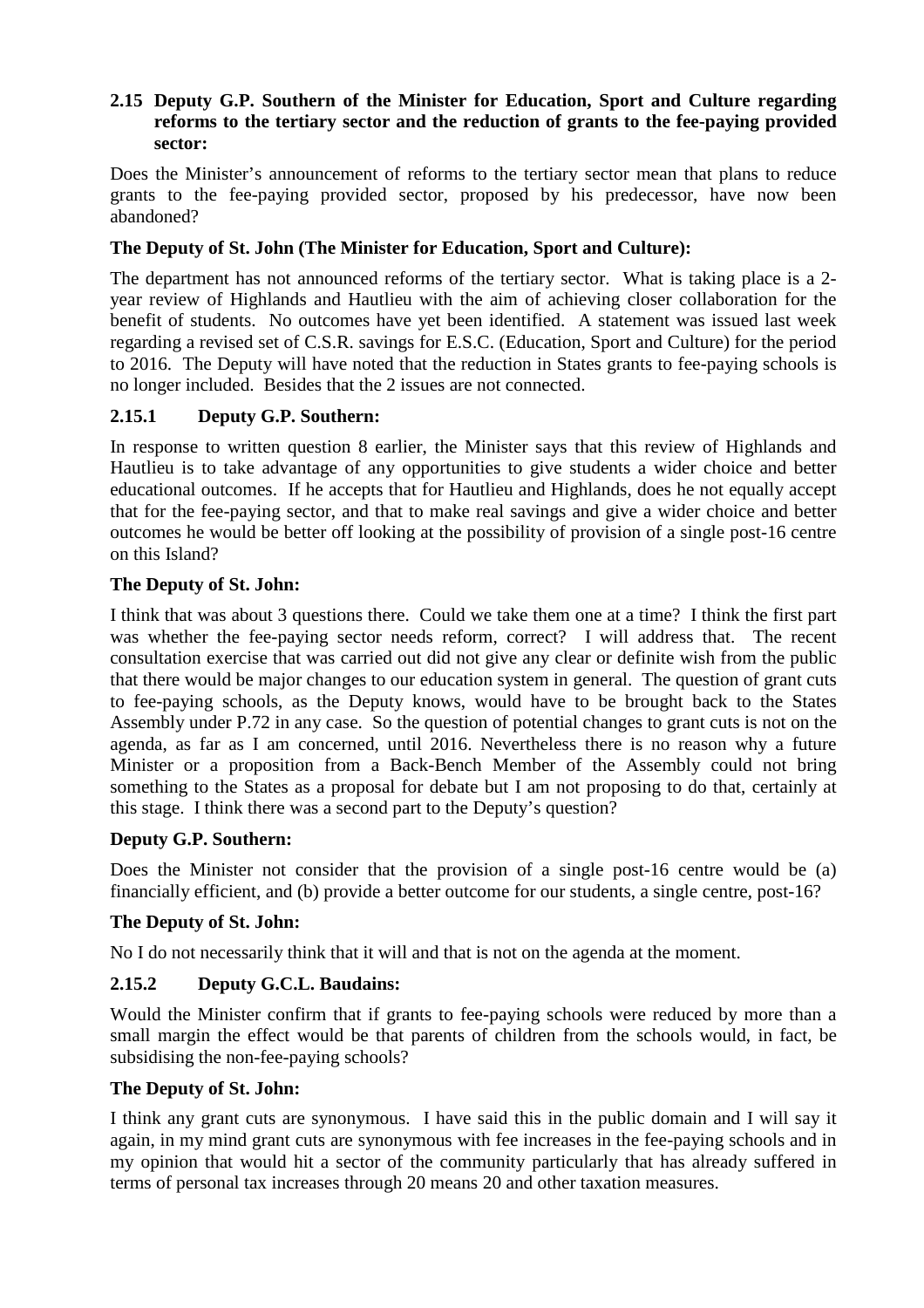## **2.15 Deputy G.P. Southern of the Minister for Education, Sport and Culture regarding reforms to the tertiary sector and the reduction of grants to the fee-paying provided sector:**

Does the Minister's announcement of reforms to the tertiary sector mean that plans to reduce grants to the fee-paying provided sector, proposed by his predecessor, have now been abandoned?

# **The Deputy of St. John (The Minister for Education, Sport and Culture):**

The department has not announced reforms of the tertiary sector. What is taking place is a 2 year review of Highlands and Hautlieu with the aim of achieving closer collaboration for the benefit of students. No outcomes have yet been identified. A statement was issued last week regarding a revised set of C.S.R. savings for E.S.C. (Education, Sport and Culture) for the period to 2016. The Deputy will have noted that the reduction in States grants to fee-paying schools is no longer included. Besides that the 2 issues are not connected.

# **2.15.1 Deputy G.P. Southern:**

In response to written question 8 earlier, the Minister says that this review of Highlands and Hautlieu is to take advantage of any opportunities to give students a wider choice and better educational outcomes. If he accepts that for Hautlieu and Highlands, does he not equally accept that for the fee-paying sector, and that to make real savings and give a wider choice and better outcomes he would be better off looking at the possibility of provision of a single post-16 centre on this Island?

#### **The Deputy of St. John:**

I think that was about 3 questions there. Could we take them one at a time? I think the first part was whether the fee-paying sector needs reform, correct? I will address that. The recent consultation exercise that was carried out did not give any clear or definite wish from the public that there would be major changes to our education system in general. The question of grant cuts to fee-paying schools, as the Deputy knows, would have to be brought back to the States Assembly under P.72 in any case. So the question of potential changes to grant cuts is not on the agenda, as far as I am concerned, until 2016. Nevertheless there is no reason why a future Minister or a proposition from a Back-Bench Member of the Assembly could not bring something to the States as a proposal for debate but I am not proposing to do that, certainly at this stage. I think there was a second part to the Deputy's question?

#### **Deputy G.P. Southern:**

Does the Minister not consider that the provision of a single post-16 centre would be (a) financially efficient, and (b) provide a better outcome for our students, a single centre, post-16?

#### **The Deputy of St. John:**

No I do not necessarily think that it will and that is not on the agenda at the moment.

# **2.15.2 Deputy G.C.L. Baudains:**

Would the Minister confirm that if grants to fee-paying schools were reduced by more than a small margin the effect would be that parents of children from the schools would, in fact, be subsidising the non-fee-paying schools?

#### **The Deputy of St. John:**

I think any grant cuts are synonymous. I have said this in the public domain and I will say it again, in my mind grant cuts are synonymous with fee increases in the fee-paying schools and in my opinion that would hit a sector of the community particularly that has already suffered in terms of personal tax increases through 20 means 20 and other taxation measures.